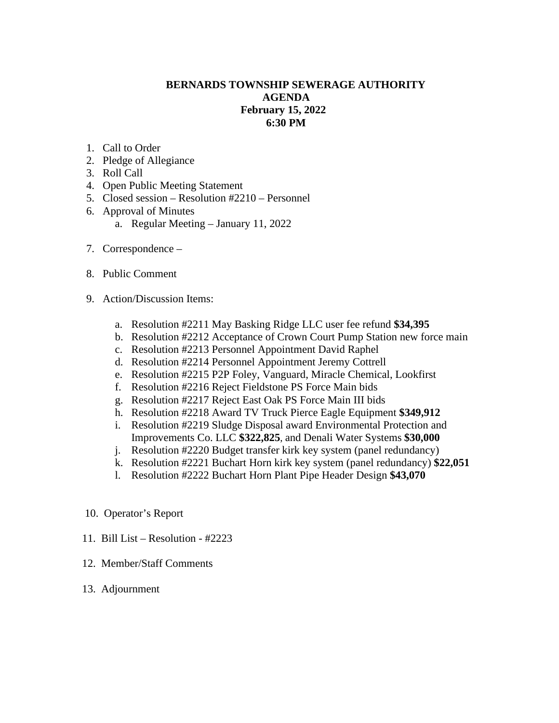## **BERNARDS TOWNSHIP SEWERAGE AUTHORITY AGENDA February 15, 2022 6:30 PM**

- 1. Call to Order
- 2. Pledge of Allegiance
- 3. Roll Call
- 4. Open Public Meeting Statement
- 5. Closed session Resolution #2210 Personnel
- 6. Approval of Minutes
	- a. Regular Meeting January 11, 2022
- 7. Correspondence –
- 8. Public Comment
- 9. Action/Discussion Items:
	- a. Resolution #2211 May Basking Ridge LLC user fee refund **\$34,395**
	- b. Resolution #2212 Acceptance of Crown Court Pump Station new force main
	- c. Resolution #2213 Personnel Appointment David Raphel
	- d. Resolution #2214 Personnel Appointment Jeremy Cottrell
	- e. Resolution #2215 P2P Foley, Vanguard, Miracle Chemical, Lookfirst
	- f. Resolution #2216 Reject Fieldstone PS Force Main bids
	- g. Resolution #2217 Reject East Oak PS Force Main III bids
	- h. Resolution #2218 Award TV Truck Pierce Eagle Equipment **\$349,912**
	- i. Resolution #2219 Sludge Disposal award Environmental Protection and Improvements Co. LLC **\$322,825**, and Denali Water Systems **\$30,000**
	- j. Resolution #2220 Budget transfer kirk key system (panel redundancy)
	- k. Resolution #2221 Buchart Horn kirk key system (panel redundancy) **\$22,051**
	- l. Resolution #2222 Buchart Horn Plant Pipe Header Design **\$43,070**
- 10. Operator's Report
- 11. Bill List Resolution #2223
- 12. Member/Staff Comments
- 13. Adjournment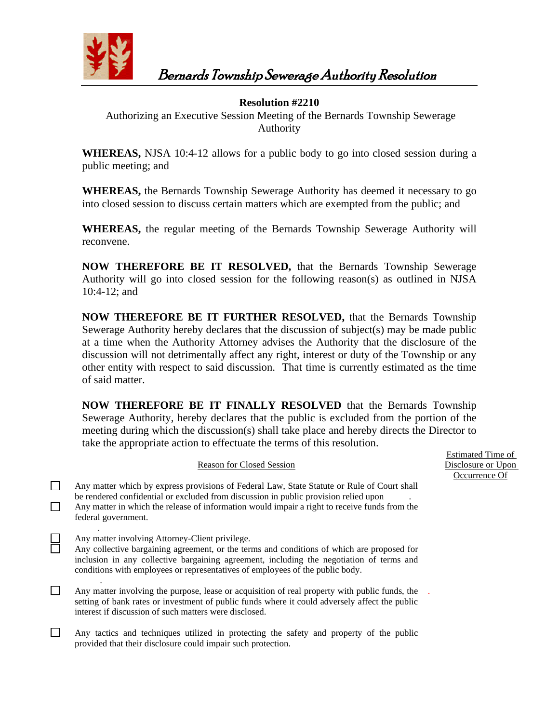

# Bernards Township Sewerage Authority Resolution

## **Resolution #2210**

Authorizing an Executive Session Meeting of the Bernards Township Sewerage Authority

**WHEREAS,** NJSA 10:4-12 allows for a public body to go into closed session during a public meeting; and

**WHEREAS,** the Bernards Township Sewerage Authority has deemed it necessary to go into closed session to discuss certain matters which are exempted from the public; and

**WHEREAS,** the regular meeting of the Bernards Township Sewerage Authority will reconvene.

**NOW THEREFORE BE IT RESOLVED,** that the Bernards Township Sewerage Authority will go into closed session for the following reason(s) as outlined in NJSA 10:4-12; and

**NOW THEREFORE BE IT FURTHER RESOLVED,** that the Bernards Township Sewerage Authority hereby declares that the discussion of subject(s) may be made public at a time when the Authority Attorney advises the Authority that the disclosure of the discussion will not detrimentally affect any right, interest or duty of the Township or any other entity with respect to said discussion. That time is currently estimated as the time of said matter.

**NOW THEREFORE BE IT FINALLY RESOLVED** that the Bernards Township Sewerage Authority, hereby declares that the public is excluded from the portion of the meeting during which the discussion(s) shall take place and hereby directs the Director to take the appropriate action to effectuate the terms of this resolution.

> Estimated Time of Disclosure or Upon Occurrence Of

| <b>Reason for Closed Session</b> |                                                                                                                                                                                                                                                                                                                            |  |
|----------------------------------|----------------------------------------------------------------------------------------------------------------------------------------------------------------------------------------------------------------------------------------------------------------------------------------------------------------------------|--|
|                                  | Any matter which by express provisions of Federal Law, State Statute or Rule of Court shall<br>be rendered confidential or excluded from discussion in public provision relied upon<br>Any matter in which the release of information would impair a right to receive funds from the<br>federal government.                |  |
|                                  | Any matter involving Attorney-Client privilege.<br>Any collective bargaining agreement, or the terms and conditions of which are proposed for<br>inclusion in any collective bargaining agreement, including the negotiation of terms and<br>conditions with employees or representatives of employees of the public body. |  |
|                                  | Any matter involving the purpose, lease or acquisition of real property with public funds, the<br>setting of bank rates or investment of public funds where it could adversely affect the public<br>interest if discussion of such matters were disclosed.                                                                 |  |
|                                  | Any tactics and techniques utilized in protecting the safety and property of the public<br>provided that their disclosure could impair such protection.                                                                                                                                                                    |  |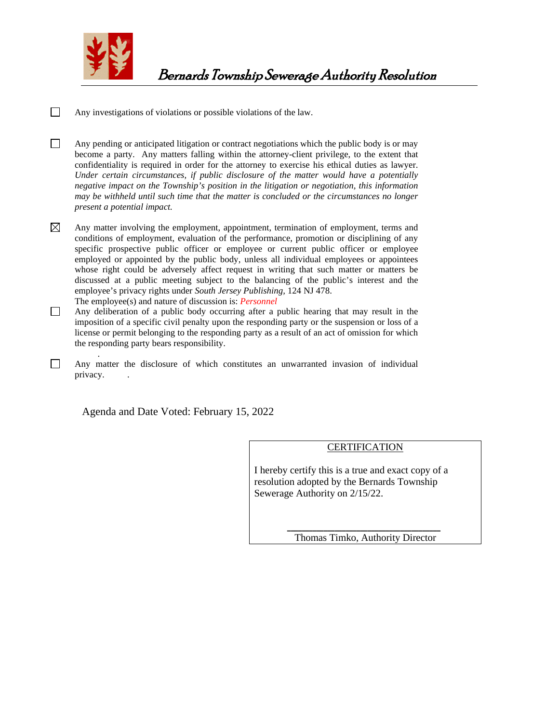

 $\Box$ Any investigations of violations or possible violations of the law.

 $\Box$ Any pending or anticipated litigation or contract negotiations which the public body is or may become a party. Any matters falling within the attorney-client privilege, to the extent that confidentiality is required in order for the attorney to exercise his ethical duties as lawyer. *Under certain circumstances, if public disclosure of the matter would have a potentially negative impact on the Township's position in the litigation or negotiation, this information may be withheld until such time that the matter is concluded or the circumstances no longer present a potential impact.*

 $\boxtimes$ Any matter involving the employment, appointment, termination of employment, terms and conditions of employment, evaluation of the performance, promotion or disciplining of any specific prospective public officer or employee or current public officer or employee employed or appointed by the public body, unless all individual employees or appointees whose right could be adversely affect request in writing that such matter or matters be discussed at a public meeting subject to the balancing of the public's interest and the employee's privacy rights under *South Jersey Publishing,* 124 NJ 478. The employee(s) and nature of discussion is: *Personnel*

 $\Box$ Any deliberation of a public body occurring after a public hearing that may result in the imposition of a specific civil penalty upon the responding party or the suspension or loss of a license or permit belonging to the responding party as a result of an act of omission for which the responding party bears responsibility.

.  $\Box$ Any matter the disclosure of which constitutes an unwarranted invasion of individual privacy.

Agenda and Date Voted: February 15, 2022

#### **CERTIFICATION**

I hereby certify this is a true and exact copy of a resolution adopted by the Bernards Township Sewerage Authority on 2/15/22.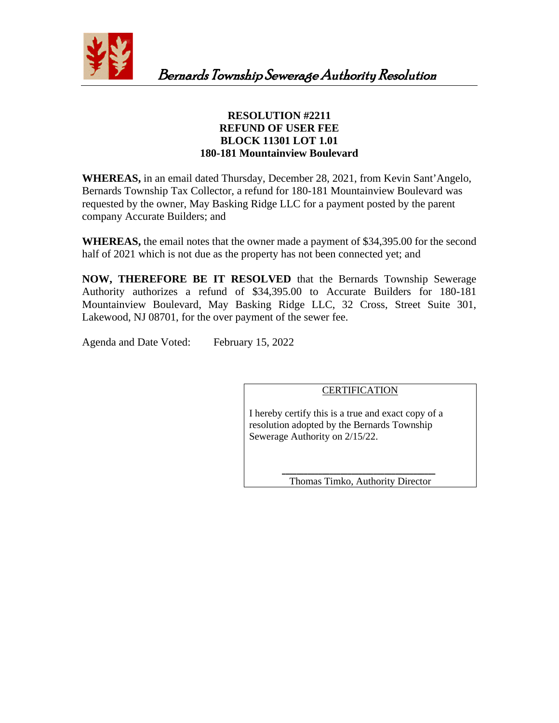

## **RESOLUTION #2211 REFUND OF USER FEE BLOCK 11301 LOT 1.01 180-181 Mountainview Boulevard**

**WHEREAS,** in an email dated Thursday, December 28, 2021, from Kevin Sant'Angelo, Bernards Township Tax Collector, a refund for 180-181 Mountainview Boulevard was requested by the owner, May Basking Ridge LLC for a payment posted by the parent company Accurate Builders; and

**WHEREAS,** the email notes that the owner made a payment of \$34,395.00 for the second half of 2021 which is not due as the property has not been connected yet; and

**NOW, THEREFORE BE IT RESOLVED** that the Bernards Township Sewerage Authority authorizes a refund of \$34,395.00 to Accurate Builders for 180-181 Mountainview Boulevard, May Basking Ridge LLC, 32 Cross, Street Suite 301, Lakewood, NJ 08701, for the over payment of the sewer fee.

Agenda and Date Voted: February 15, 2022

## **CERTIFICATION**

I hereby certify this is a true and exact copy of a resolution adopted by the Bernards Township Sewerage Authority on 2/15/22.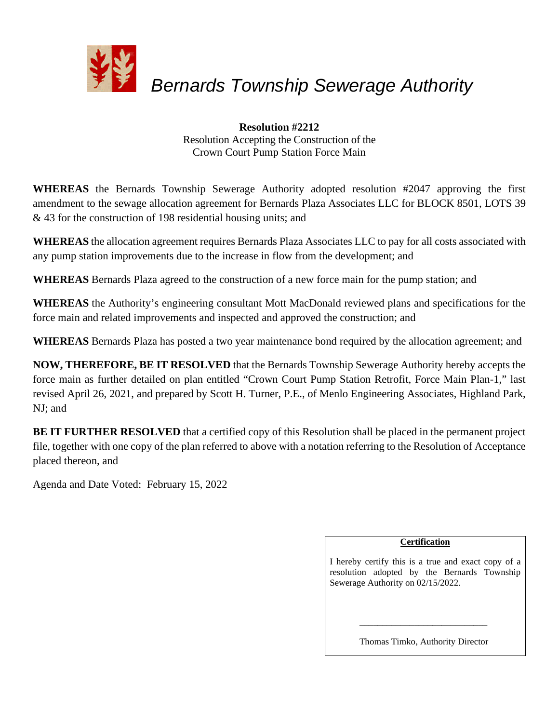

**Resolution #2212** Resolution Accepting the Construction of the Crown Court Pump Station Force Main

**WHEREAS** the Bernards Township Sewerage Authority adopted resolution #2047 approving the first amendment to the sewage allocation agreement for Bernards Plaza Associates LLC for BLOCK 8501, LOTS 39 & 43 for the construction of 198 residential housing units; and

**WHEREAS** the allocation agreement requires Bernards Plaza Associates LLC to pay for all costs associated with any pump station improvements due to the increase in flow from the development; and

**WHEREAS** Bernards Plaza agreed to the construction of a new force main for the pump station; and

**WHEREAS** the Authority's engineering consultant Mott MacDonald reviewed plans and specifications for the force main and related improvements and inspected and approved the construction; and

**WHEREAS** Bernards Plaza has posted a two year maintenance bond required by the allocation agreement; and

**NOW, THEREFORE, BE IT RESOLVED** that the Bernards Township Sewerage Authority hereby accepts the force main as further detailed on plan entitled "Crown Court Pump Station Retrofit, Force Main Plan-1," last revised April 26, 2021, and prepared by Scott H. Turner, P.E., of Menlo Engineering Associates, Highland Park, NJ; and

**BE IT FURTHER RESOLVED** that a certified copy of this Resolution shall be placed in the permanent project file, together with one copy of the plan referred to above with a notation referring to the Resolution of Acceptance placed thereon, and

Agenda and Date Voted: February 15, 2022

## **Certification**

I hereby certify this is a true and exact copy of a resolution adopted by the Bernards Township Sewerage Authority on 02/15/2022.

Thomas Timko, Authority Director

 $\frac{1}{\sqrt{2}}$  ,  $\frac{1}{\sqrt{2}}$  ,  $\frac{1}{\sqrt{2}}$  ,  $\frac{1}{\sqrt{2}}$  ,  $\frac{1}{\sqrt{2}}$  ,  $\frac{1}{\sqrt{2}}$  ,  $\frac{1}{\sqrt{2}}$  ,  $\frac{1}{\sqrt{2}}$  ,  $\frac{1}{\sqrt{2}}$  ,  $\frac{1}{\sqrt{2}}$  ,  $\frac{1}{\sqrt{2}}$  ,  $\frac{1}{\sqrt{2}}$  ,  $\frac{1}{\sqrt{2}}$  ,  $\frac{1}{\sqrt{2}}$  ,  $\frac{1}{\sqrt{2}}$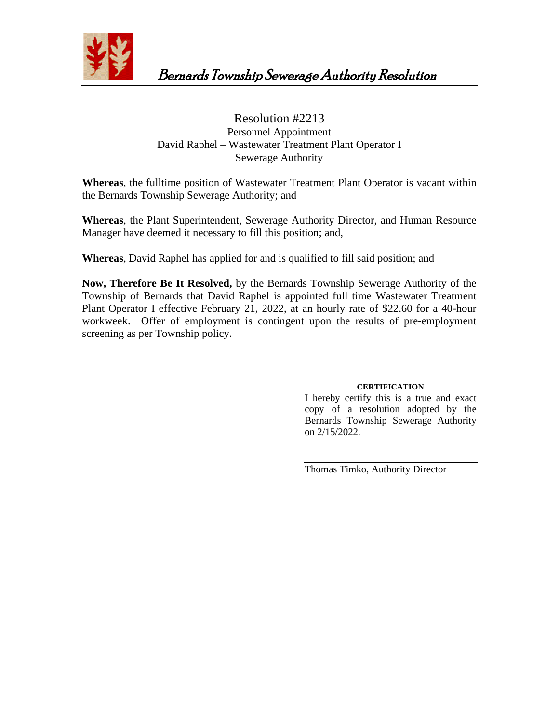

## Resolution #2213 Personnel Appointment David Raphel – Wastewater Treatment Plant Operator I Sewerage Authority

**Whereas**, the fulltime position of Wastewater Treatment Plant Operator is vacant within the Bernards Township Sewerage Authority; and

**Whereas**, the Plant Superintendent, Sewerage Authority Director, and Human Resource Manager have deemed it necessary to fill this position; and,

**Whereas**, David Raphel has applied for and is qualified to fill said position; and

**Now, Therefore Be It Resolved,** by the Bernards Township Sewerage Authority of the Township of Bernards that David Raphel is appointed full time Wastewater Treatment Plant Operator I effective February 21, 2022, at an hourly rate of \$22.60 for a 40-hour workweek. Offer of employment is contingent upon the results of pre-employment screening as per Township policy.

## **CERTIFICATION**

I hereby certify this is a true and exact copy of a resolution adopted by the Bernards Township Sewerage Authority on 2/15/2022.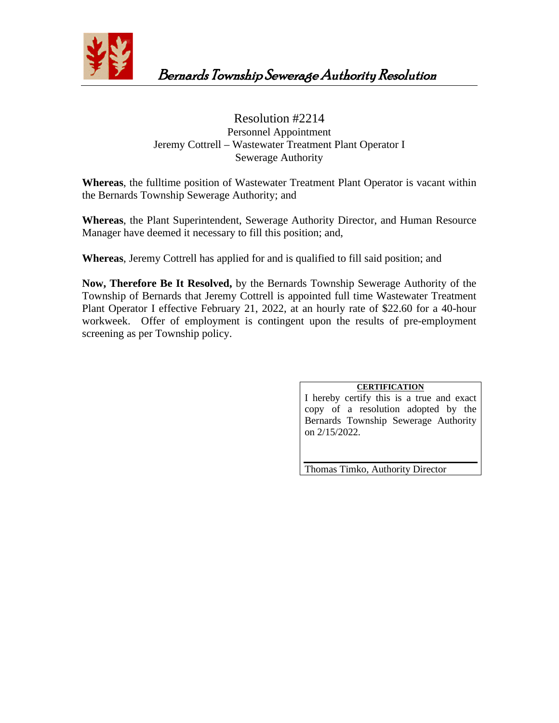

## Resolution #2214 Personnel Appointment Jeremy Cottrell – Wastewater Treatment Plant Operator I Sewerage Authority

**Whereas**, the fulltime position of Wastewater Treatment Plant Operator is vacant within the Bernards Township Sewerage Authority; and

**Whereas**, the Plant Superintendent, Sewerage Authority Director, and Human Resource Manager have deemed it necessary to fill this position; and,

**Whereas**, Jeremy Cottrell has applied for and is qualified to fill said position; and

**Now, Therefore Be It Resolved,** by the Bernards Township Sewerage Authority of the Township of Bernards that Jeremy Cottrell is appointed full time Wastewater Treatment Plant Operator I effective February 21, 2022, at an hourly rate of \$22.60 for a 40-hour workweek. Offer of employment is contingent upon the results of pre-employment screening as per Township policy.

## **CERTIFICATION**

I hereby certify this is a true and exact copy of a resolution adopted by the Bernards Township Sewerage Authority on 2/15/2022.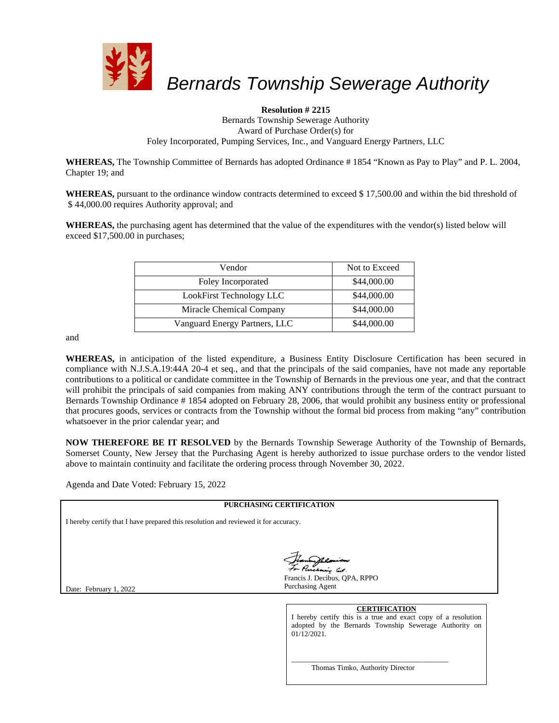

#### **Resolution # 2215**

Bernards Township Sewerage Authority Award of Purchase Order(s) for Foley Incorporated, Pumping Services, Inc., and Vanguard Energy Partners, LLC

WHEREAS, The Township Committee of Bernards has adopted Ordinance #1854 "Known as Pay to Play" and P. L. 2004, Chapter 19; and

**WHEREAS,** pursuant to the ordinance window contracts determined to exceed \$ 17,500.00 and within the bid threshold of \$ 44,000.00 requires Authority approval; and

**WHEREAS,** the purchasing agent has determined that the value of the expenditures with the vendor(s) listed below will exceed \$17,500.00 in purchases;

| Vendor                        | Not to Exceed |
|-------------------------------|---------------|
| Foley Incorporated            | \$44,000.00   |
| LookFirst Technology LLC      | \$44,000.00   |
| Miracle Chemical Company      | \$44,000.00   |
| Vanguard Energy Partners, LLC | \$44,000.00   |

and

**WHEREAS,** in anticipation of the listed expenditure, a Business Entity Disclosure Certification has been secured in compliance with N.J.S.A.19:44A 20-4 et seq., and that the principals of the said companies, have not made any reportable contributions to a political or candidate committee in the Township of Bernards in the previous one year, and that the contract will prohibit the principals of said companies from making ANY contributions through the term of the contract pursuant to Bernards Township Ordinance # 1854 adopted on February 28, 2006, that would prohibit any business entity or professional that procures goods, services or contracts from the Township without the formal bid process from making "any" contribution whatsoever in the prior calendar year; and

**NOW THEREFORE BE IT RESOLVED** by the Bernards Township Sewerage Authority of the Township of Bernards, Somerset County, New Jersey that the Purchasing Agent is hereby authorized to issue purchase orders to the vendor listed above to maintain continuity and facilitate the ordering process through November 30, 2022.

Agenda and Date Voted: February 15, 2022

| <b>PURCHASING CERTIFICATION</b>                                                     |                                                                                                                                                                |  |  |
|-------------------------------------------------------------------------------------|----------------------------------------------------------------------------------------------------------------------------------------------------------------|--|--|
| I hereby certify that I have prepared this resolution and reviewed it for accuracy. |                                                                                                                                                                |  |  |
| Date: February 1, 2022                                                              | Jeanny Resident<br>Francis J. Decibus, OPA, RPPO<br>Purchasing Agent                                                                                           |  |  |
|                                                                                     | <b>CERTIFICATION</b><br>I hereby certify this is a true and exact copy of a resolution<br>adopted by the Bernards Township Sewerage Authority on<br>01/12/2021 |  |  |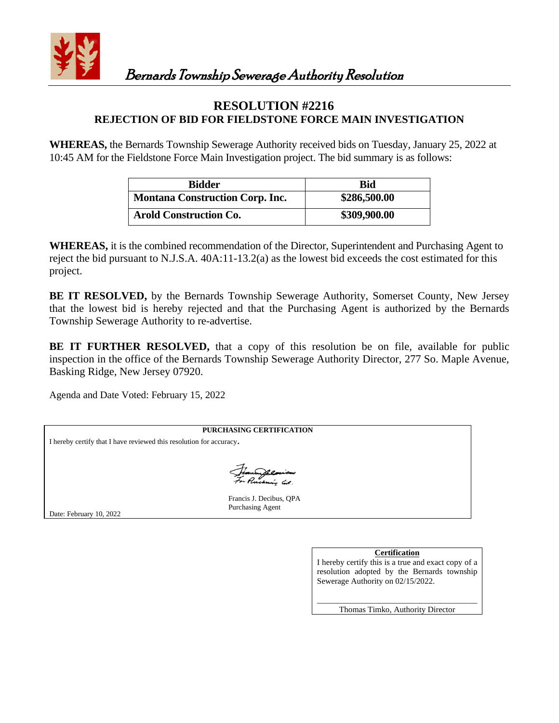

## **RESOLUTION #2216 REJECTION OF BID FOR FIELDSTONE FORCE MAIN INVESTIGATION**

**WHEREAS,** the Bernards Township Sewerage Authority received bids on Tuesday, January 25, 2022 at 10:45 AM for the Fieldstone Force Main Investigation project. The bid summary is as follows:

| <b>Bidder</b>                          | Bid          |
|----------------------------------------|--------------|
| <b>Montana Construction Corp. Inc.</b> | \$286,500.00 |
| <b>Arold Construction Co.</b>          | \$309,900.00 |

**WHEREAS,** it is the combined recommendation of the Director, Superintendent and Purchasing Agent to reject the bid pursuant to N.J.S.A. 40A:11-13.2(a) as the lowest bid exceeds the cost estimated for this project.

**BE IT RESOLVED,** by the Bernards Township Sewerage Authority, Somerset County, New Jersey that the lowest bid is hereby rejected and that the Purchasing Agent is authorized by the Bernards Township Sewerage Authority to re-advertise.

BE IT FURTHER RESOLVED, that a copy of this resolution be on file, available for public inspection in the office of the Bernards Township Sewerage Authority Director, 277 So. Maple Avenue, Basking Ridge, New Jersey 07920.

Agenda and Date Voted: February 15, 2022

**PURCHASING CERTIFICATION** I hereby certify that I have reviewed this resolution for accuracy. .<br>kozór lút. Francis J. Decibus, QPA Purchasing Agent Date: February 10, 2022

#### **Certification**

I hereby certify this is a true and exact copy of a resolution adopted by the Bernards township Sewerage Authority on 02/15/2022.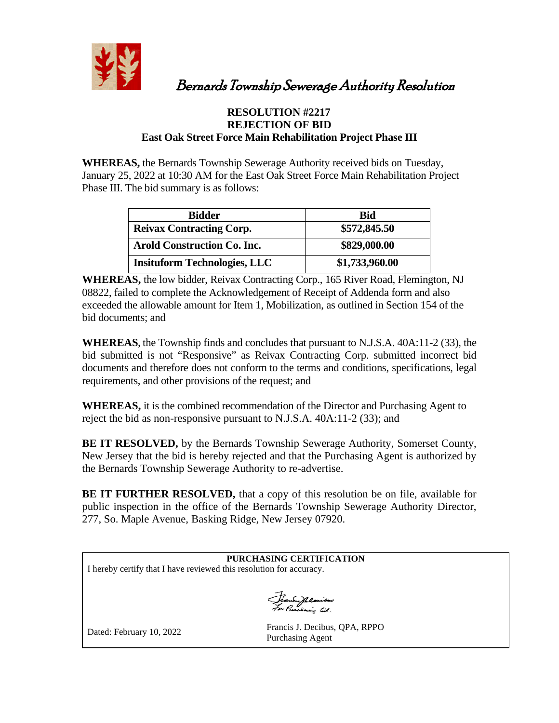

Bernards Township Sewerage Authority Resolution

## **RESOLUTION #2217 REJECTION OF BID East Oak Street Force Main Rehabilitation Project Phase III**

**WHEREAS,** the Bernards Township Sewerage Authority received bids on Tuesday, January 25, 2022 at 10:30 AM for the East Oak Street Force Main Rehabilitation Project Phase III. The bid summary is as follows:

| <b>Bidder</b>                       | <b>Bid</b>     |
|-------------------------------------|----------------|
| <b>Reivax Contracting Corp.</b>     | \$572,845.50   |
| <b>Arold Construction Co. Inc.</b>  | \$829,000.00   |
| <b>Insituform Technologies, LLC</b> | \$1,733,960.00 |

**WHEREAS,** the low bidder, Reivax Contracting Corp., 165 River Road, Flemington, NJ 08822, failed to complete the Acknowledgement of Receipt of Addenda form and also exceeded the allowable amount for Item 1, Mobilization, as outlined in Section 154 of the bid documents; and

**WHEREAS,** the Township finds and concludes that pursuant to N.J.S.A. 40A:11-2 (33), the bid submitted is not "Responsive" as Reivax Contracting Corp. submitted incorrect bid documents and therefore does not conform to the terms and conditions, specifications, legal requirements, and other provisions of the request; and

**WHEREAS,** it is the combined recommendation of the Director and Purchasing Agent to reject the bid as non-responsive pursuant to N.J.S.A. 40A:11-2 (33); and

**BE IT RESOLVED,** by the Bernards Township Sewerage Authority, Somerset County, New Jersey that the bid is hereby rejected and that the Purchasing Agent is authorized by the Bernards Township Sewerage Authority to re-advertise.

**BE IT FURTHER RESOLVED,** that a copy of this resolution be on file, available for public inspection in the office of the Bernards Township Sewerage Authority Director, 277, So. Maple Avenue, Basking Ridge, New Jersey 07920.

|                                                                     | PURCHASING CERTIFICATION      |  |  |
|---------------------------------------------------------------------|-------------------------------|--|--|
| I hereby certify that I have reviewed this resolution for accuracy. |                               |  |  |
|                                                                     |                               |  |  |
|                                                                     |                               |  |  |
|                                                                     | Jeanny Resident               |  |  |
|                                                                     |                               |  |  |
| Dated: February 10 2022                                             | Francis J. Decibus, QPA, RPPO |  |  |

red: February 10, 2022

Purchasing Agent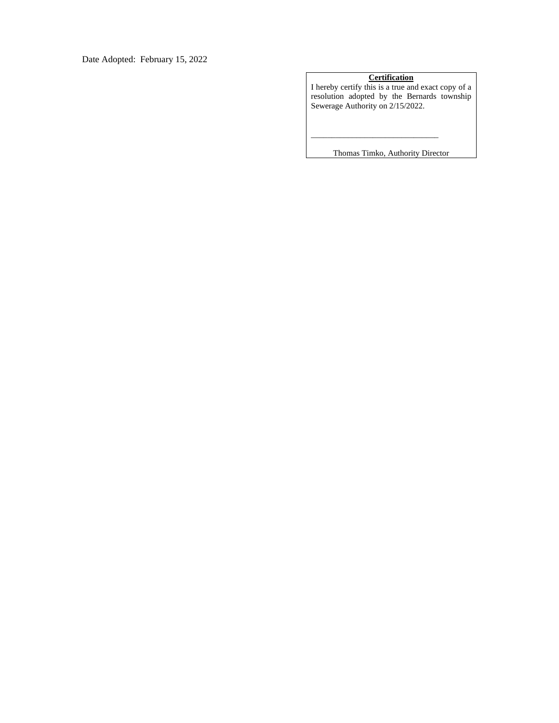Date Adopted: February 15, 2022

#### **Certification**

I hereby certify this is a true and exact copy of a resolution adopted by the Bernards township Sewerage Authority on 2/15/2022.

Thomas Timko, Authority Director

\_\_\_\_\_\_\_\_\_\_\_\_\_\_\_\_\_\_\_\_\_\_\_\_\_\_\_\_\_\_\_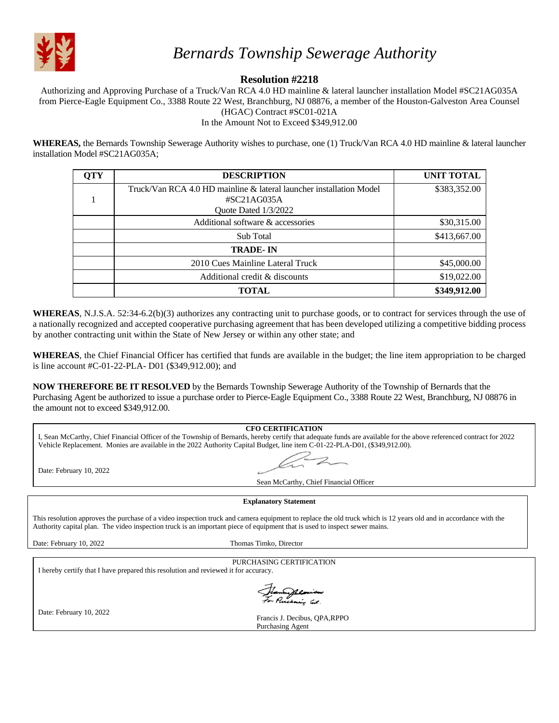

## **Resolution #2218**

Authorizing and Approving Purchase of a Truck/Van RCA 4.0 HD mainline & lateral launcher installation Model #SC21AG035A from Pierce-Eagle Equipment Co., 3388 Route 22 West, Branchburg, NJ 08876, a member of the Houston-Galveston Area Counsel (HGAC) Contract #SC01-021A

In the Amount Not to Exceed \$349,912.00

**WHEREAS,** the Bernards Township Sewerage Authority wishes to purchase, one (1) Truck/Van RCA 4.0 HD mainline & lateral launcher installation Model #SC21AG035A;

| <b>OTY</b> | <b>DESCRIPTION</b>                                                  | <b>UNIT TOTAL</b> |
|------------|---------------------------------------------------------------------|-------------------|
|            | Truck/Van RCA 4.0 HD mainline & lateral launcher installation Model | \$383,352.00      |
|            | $\#SC21AG035A$                                                      |                   |
|            | Quote Dated 1/3/2022                                                |                   |
|            | Additional software & accessories                                   | \$30,315.00       |
|            | Sub Total                                                           | \$413,667.00      |
|            | <b>TRADE-IN</b>                                                     |                   |
|            | 2010 Cues Mainline Lateral Truck                                    | \$45,000.00       |
|            | Additional credit & discounts                                       | \$19,022.00       |
|            | <b>TOTAL</b>                                                        | \$349,912.00      |

**WHEREAS**, N.J.S.A. 52:34-6.2(b)(3) authorizes any contracting unit to purchase goods, or to contract for services through the use of a nationally recognized and accepted cooperative purchasing agreement that has been developed utilizing a competitive bidding process by another contracting unit within the State of New Jersey or within any other state; and

**WHEREAS**, the Chief Financial Officer has certified that funds are available in the budget; the line item appropriation to be charged is line account #C-01-22-PLA- D01 (\$349,912.00); and

**NOW THEREFORE BE IT RESOLVED** by the Bernards Township Sewerage Authority of the Township of Bernards that the Purchasing Agent be authorized to issue a purchase order to Pierce-Eagle Equipment Co., 3388 Route 22 West, Branchburg, NJ 08876 in the amount not to exceed \$349,912.00.

|                                                                                                                                                                                                                                                                                                                                                     | <b>CFO CERTIFICATION</b>                                                                                                                                           |  |  |  |
|-----------------------------------------------------------------------------------------------------------------------------------------------------------------------------------------------------------------------------------------------------------------------------------------------------------------------------------------------------|--------------------------------------------------------------------------------------------------------------------------------------------------------------------|--|--|--|
|                                                                                                                                                                                                                                                                                                                                                     | I, Sean McCarthy, Chief Financial Officer of the Township of Bernards, hereby certify that adequate funds are available for the above referenced contract for 2022 |  |  |  |
|                                                                                                                                                                                                                                                                                                                                                     | Vehicle Replacement. Monies are available in the 2022 Authority Capital Budget, line item C-01-22-PLA-D01, (\$349,912.00).                                         |  |  |  |
| Date: February 10, 2022                                                                                                                                                                                                                                                                                                                             | $\sim$ 2                                                                                                                                                           |  |  |  |
|                                                                                                                                                                                                                                                                                                                                                     | Sean McCarthy, Chief Financial Officer                                                                                                                             |  |  |  |
|                                                                                                                                                                                                                                                                                                                                                     |                                                                                                                                                                    |  |  |  |
|                                                                                                                                                                                                                                                                                                                                                     | <b>Explanatory Statement</b>                                                                                                                                       |  |  |  |
| This resolution approves the purchase of a video inspection truck and camera equipment to replace the old truck which is 12 years old and in accordance with the<br>Authority capital plan. The video inspection truck is an important piece of equipment that is used to inspect sewer mains.<br>Date: February 10, 2022<br>Thomas Timko, Director |                                                                                                                                                                    |  |  |  |
|                                                                                                                                                                                                                                                                                                                                                     |                                                                                                                                                                    |  |  |  |
|                                                                                                                                                                                                                                                                                                                                                     | PURCHASING CERTIFICATION                                                                                                                                           |  |  |  |
| I hereby certify that I have prepared this resolution and reviewed it for accuracy.                                                                                                                                                                                                                                                                 |                                                                                                                                                                    |  |  |  |
|                                                                                                                                                                                                                                                                                                                                                     | Francy Remiers                                                                                                                                                     |  |  |  |
| Date: February 10, 2022                                                                                                                                                                                                                                                                                                                             | Francis J. Decibus, OPA, RPPO                                                                                                                                      |  |  |  |
|                                                                                                                                                                                                                                                                                                                                                     | Purchasing Agent                                                                                                                                                   |  |  |  |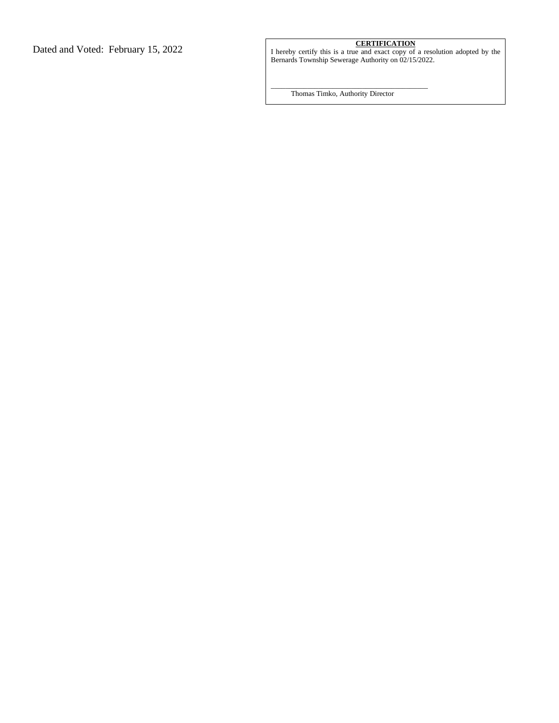Dated and Voted: February 15, 2022 **CERTIFICATION** I hereby certify this is a true and exact copy of a resolution adopted by the Bernards Township Sewerage Authority on 02/15/2022.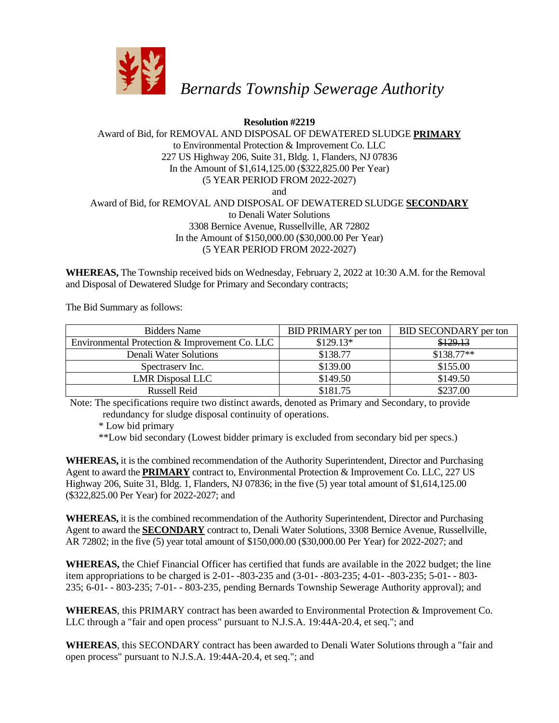

## **Resolution #2219**

### Award of Bid, for REMOVAL AND DISPOSAL OF DEWATERED SLUDGE **PRIMARY** to Environmental Protection & Improvement Co. LLC 227 US Highway 206, Suite 31, Bldg. 1, Flanders, NJ 07836 In the Amount of \$1,614,125.00 (\$322,825.00 Per Year) (5 YEAR PERIOD FROM 2022-2027) and Award of Bid, for REMOVAL AND DISPOSAL OF DEWATERED SLUDGE **SECONDARY** to Denali Water Solutions 3308 Bernice Avenue, Russellville, AR 72802 In the Amount of \$150,000.00 (\$30,000.00 Per Year) (5 YEAR PERIOD FROM 2022-2027)

**WHEREAS,** The Township received bids on Wednesday, February 2, 2022 at 10:30 A.M. for the Removal and Disposal of Dewatered Sludge for Primary and Secondary contracts;

The Bid Summary as follows:

| <b>Bidders Name</b>                            | <b>BID PRIMARY</b> per ton | BID SECONDARY per ton |
|------------------------------------------------|----------------------------|-----------------------|
| Environmental Protection & Improvement Co. LLC | $$129.13*$                 | \$129.13              |
| Denali Water Solutions                         | \$138.77                   | $$138.77**$           |
| Spectrasery Inc.                               | \$139.00                   | \$155.00              |
| <b>LMR</b> Disposal LLC                        | \$149.50                   | \$149.50              |
| Russell Reid                                   | \$181.75                   | \$237.00              |

Note: The specifications require two distinct awards, denoted as Primary and Secondary, to provide redundancy for sludge disposal continuity of operations.

\* Low bid primary

\*\*Low bid secondary (Lowest bidder primary is excluded from secondary bid per specs.)

**WHEREAS,** it is the combined recommendation of the Authority Superintendent, Director and Purchasing Agent to award the **PRIMARY** contract to, Environmental Protection & Improvement Co. LLC, 227 US Highway 206, Suite 31, Bldg. 1, Flanders, NJ 07836; in the five (5) year total amount of \$1,614,125.00 (\$322,825.00 Per Year) for 2022-2027; and

**WHEREAS,** it is the combined recommendation of the Authority Superintendent, Director and Purchasing Agent to award the **SECONDARY** contract to, Denali Water Solutions, 3308 Bernice Avenue, Russellville, AR 72802; in the five (5) year total amount of \$150,000.00 (\$30,000.00 Per Year) for 2022-2027; and

**WHEREAS,** the Chief Financial Officer has certified that funds are available in the 2022 budget; the line item appropriations to be charged is 2-01- -803-235 and (3-01- -803-235; 4-01- -803-235; 5-01- - 803- 235; 6-01- - 803-235; 7-01- - 803-235, pending Bernards Township Sewerage Authority approval); and

**WHEREAS**, this PRIMARY contract has been awarded to Environmental Protection & Improvement Co. LLC through a "fair and open process" pursuant to N.J.S.A. 19:44A-20.4, et seq."; and

**WHEREAS**, this SECONDARY contract has been awarded to Denali Water Solutions through a "fair and open process" pursuant to N.J.S.A. 19:44A-20.4, et seq."; and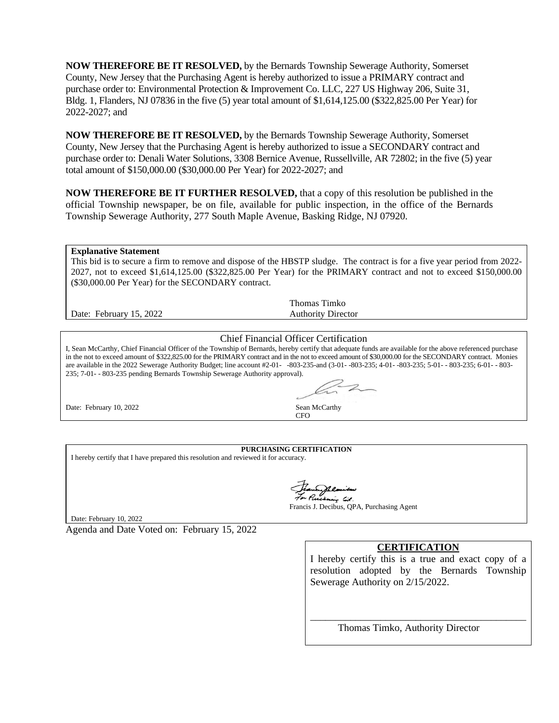**NOW THEREFORE BE IT RESOLVED,** by the Bernards Township Sewerage Authority, Somerset County, New Jersey that the Purchasing Agent is hereby authorized to issue a PRIMARY contract and purchase order to: Environmental Protection & Improvement Co. LLC, 227 US Highway 206, Suite 31, Bldg. 1, Flanders, NJ 07836 in the five (5) year total amount of \$1,614,125.00 (\$322,825.00 Per Year) for 2022-2027; and

**NOW THEREFORE BE IT RESOLVED,** by the Bernards Township Sewerage Authority, Somerset County, New Jersey that the Purchasing Agent is hereby authorized to issue a SECONDARY contract and purchase order to: Denali Water Solutions, 3308 Bernice Avenue, Russellville, AR 72802; in the five (5) year total amount of \$150,000.00 (\$30,000.00 Per Year) for 2022-2027; and

**NOW THEREFORE BE IT FURTHER RESOLVED,** that a copy of this resolution be published in the official Township newspaper, be on file, available for public inspection, in the office of the Bernards Township Sewerage Authority, 277 South Maple Avenue, Basking Ridge, NJ 07920.

#### **Explanative Statement**

This bid is to secure a firm to remove and dispose of the HBSTP sludge. The contract is for a five year period from 2022- 2027, not to exceed \$1,614,125.00 (\$322,825.00 Per Year) for the PRIMARY contract and not to exceed \$150,000.00 (\$30,000.00 Per Year) for the SECONDARY contract.

Date: February 15, 2022

Thomas Timko Authority Director

#### Chief Financial Officer Certification

I, Sean McCarthy, Chief Financial Officer of the Township of Bernards, hereby certify that adequate funds are available for the above referenced purchase in the not to exceed amount of \$322,825.00 for the PRIMARY contract and in the not to exceed amount of \$30,000.00 for the SECONDARY contract. Monies are available in the 2022 Sewerage Authority Budget; line account #2-01- -803-235-and (3-01- -803-235; 4-01- -803-235; 5-01- - 803-235; 6-01- - 803- 235; 7-01- - 803-235 pending Bernards Township Sewerage Authority approval).



#### **PURCHASING CERTIFICATION**

I hereby certify that I have prepared this resolution and reviewed it for accuracy.

chaing lit.

Francis J. Decibus, QPA, Purchasing Agent

Date: February 10, 2022

Agenda and Date Voted on: February 15, 2022

#### **CERTIFICATION**

I hereby certify this is a true and exact copy of a resolution adopted by the Bernards Township Sewerage Authority on 2/15/2022.

\_\_\_\_\_\_\_\_\_\_\_\_\_\_\_\_\_\_\_\_\_\_\_\_\_\_\_\_\_\_\_\_\_\_\_\_\_\_\_\_\_\_\_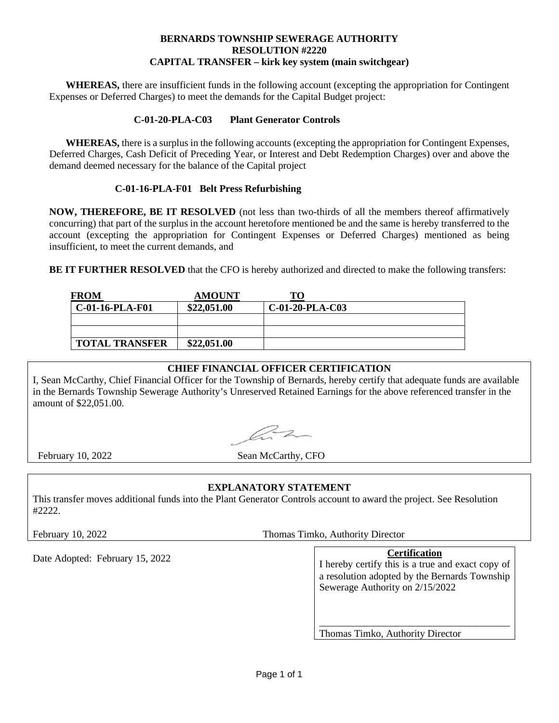#### **BERNARDS TOWNSHIP SEWERAGE AUTHORITY RESOLUTION #2220 CAPITAL TRANSFER – kirk key system (main switchgear)**

**WHEREAS,** there are insufficient funds in the following account (excepting the appropriation for Contingent Expenses or Deferred Charges) to meet the demands for the Capital Budget project:

#### **C-01-20-PLA-C03 Plant Generator Controls**

**WHEREAS,** there is a surplus in the following accounts (excepting the appropriation for Contingent Expenses, Deferred Charges, Cash Deficit of Preceding Year, or Interest and Debt Redemption Charges) over and above the demand deemed necessary for the balance of the Capital project

#### **C-01-16-PLA-F01 Belt Press Refurbishing**

**NOW, THEREFORE, BE IT RESOLVED** (not less than two-thirds of all the members thereof affirmatively concurring) that part of the surplus in the account heretofore mentioned be and the same is hereby transferred to the account (excepting the appropriation for Contingent Expenses or Deferred Charges) mentioned as being insufficient, to meet the current demands, and

**BE IT FURTHER RESOLVED** that the CFO is hereby authorized and directed to make the following transfers:

| <b>FROM</b>           | <b>AMOUNT</b> |                   |  |
|-----------------------|---------------|-------------------|--|
| C-01-16-PLA-F01       | \$22,051.00   | $C-01-20-PLA-C03$ |  |
|                       |               |                   |  |
|                       |               |                   |  |
| <b>TOTAL TRANSFER</b> | \$22,051.00   |                   |  |

## **CHIEF FINANCIAL OFFICER CERTIFICATION**

I, Sean McCarthy, Chief Financial Officer for the Township of Bernards, hereby certify that adequate funds are available in the Bernards Township Sewerage Authority's Unreserved Retained Earnings for the above referenced transfer in the amount of \$22,051.00.

az

February 10, 2022 Sean McCarthy, CFO

## **EXPLANATORY STATEMENT**

This transfer moves additional funds into the Plant Generator Controls account to award the project. See Resolution #2222.

February 10, 2022 Thomas Timko, Authority Director

# Date Adopted: February 15, 2022

I hereby certify this is a true and exact copy of a resolution adopted by the Bernards Township Sewerage Authority on 2/15/2022

\_\_\_\_\_\_\_\_\_\_\_\_\_\_\_\_\_\_\_\_\_\_\_\_\_\_\_\_\_\_\_\_\_\_\_\_\_\_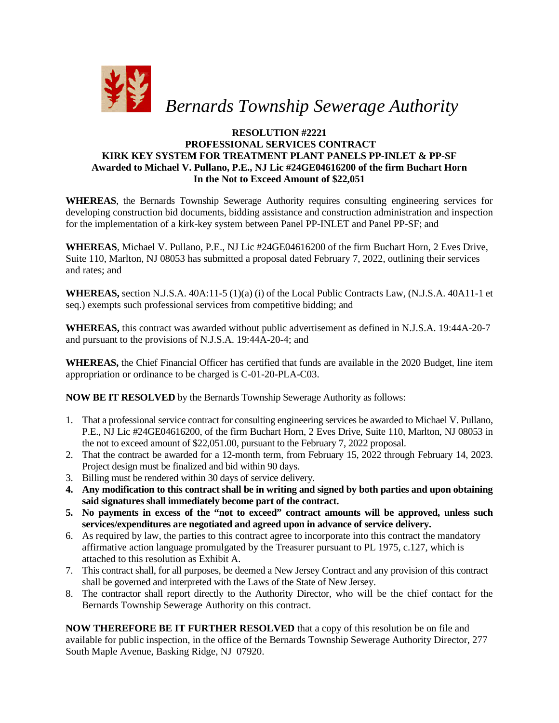

### **RESOLUTION #2221 PROFESSIONAL SERVICES CONTRACT KIRK KEY SYSTEM FOR TREATMENT PLANT PANELS PP-INLET & PP-SF Awarded to Michael V. Pullano, P.E., NJ Lic #24GE04616200 of the firm Buchart Horn In the Not to Exceed Amount of \$22,051**

**WHEREAS**, the Bernards Township Sewerage Authority requires consulting engineering services for developing construction bid documents, bidding assistance and construction administration and inspection for the implementation of a kirk-key system between Panel PP-INLET and Panel PP-SF; and

**WHEREAS**, Michael V. Pullano, P.E., NJ Lic #24GE04616200 of the firm Buchart Horn, 2 Eves Drive, Suite 110, Marlton, NJ 08053 has submitted a proposal dated February 7, 2022, outlining their services and rates; and

**WHEREAS,** section N.J.S.A. 40A:11-5 (1)(a) (i) of the Local Public Contracts Law, (N.J.S.A. 40A11-1 et seq.) exempts such professional services from competitive bidding; and

**WHEREAS,** this contract was awarded without public advertisement as defined in N.J.S.A. 19:44A-20-7 and pursuant to the provisions of N.J.S.A. 19:44A-20-4; and

**WHEREAS,** the Chief Financial Officer has certified that funds are available in the 2020 Budget, line item appropriation or ordinance to be charged is C-01-20-PLA-C03.

**NOW BE IT RESOLVED** by the Bernards Township Sewerage Authority as follows:

- 1. That a professional service contract for consulting engineering services be awarded to Michael V. Pullano, P.E., NJ Lic #24GE04616200, of the firm Buchart Horn, 2 Eves Drive, Suite 110, Marlton, NJ 08053 in the not to exceed amount of \$22,051.00, pursuant to the February 7, 2022 proposal.
- 2. That the contract be awarded for a 12-month term, from February 15, 2022 through February 14, 2023. Project design must be finalized and bid within 90 days.
- 3. Billing must be rendered within 30 days of service delivery.
- **4. Any modification to this contract shall be in writing and signed by both parties and upon obtaining said signatures shall immediately become part of the contract.**
- **5. No payments in excess of the "not to exceed" contract amounts will be approved, unless such services/expenditures are negotiated and agreed upon in advance of service delivery.**
- 6. As required by law, the parties to this contract agree to incorporate into this contract the mandatory affirmative action language promulgated by the Treasurer pursuant to PL 1975, c.127, which is attached to this resolution as Exhibit A.
- 7. This contract shall, for all purposes, be deemed a New Jersey Contract and any provision of this contract shall be governed and interpreted with the Laws of the State of New Jersey.
- 8. The contractor shall report directly to the Authority Director, who will be the chief contact for the Bernards Township Sewerage Authority on this contract.

**NOW THEREFORE BE IT FURTHER RESOLVED** that a copy of this resolution be on file and available for public inspection, in the office of the Bernards Township Sewerage Authority Director, 277 South Maple Avenue, Basking Ridge, NJ 07920.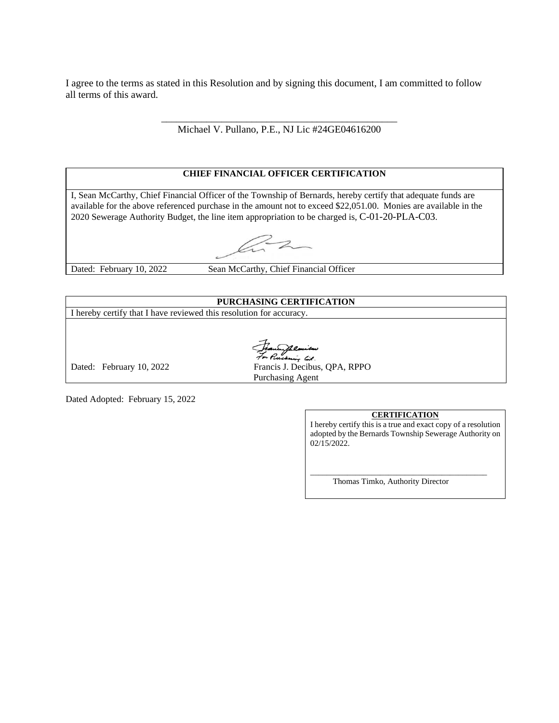I agree to the terms as stated in this Resolution and by signing this document, I am committed to follow all terms of this award.

> \_\_\_\_\_\_\_\_\_\_\_\_\_\_\_\_\_\_\_\_\_\_\_\_\_\_\_\_\_\_\_\_\_\_\_\_\_\_\_\_\_\_\_\_\_\_\_ Michael V. Pullano, P.E., NJ Lic #24GE04616200

#### **CHIEF FINANCIAL OFFICER CERTIFICATION**

I, Sean McCarthy, Chief Financial Officer of the Township of Bernards, hereby certify that adequate funds are available for the above referenced purchase in the amount not to exceed \$22,051.00. Monies are available in the 2020 Sewerage Authority Budget, the line item appropriation to be charged is, C-01-20-PLA-C03.

Dated: February 10, 2022

Sean McCarthy, Chief Financial Officer

## **PURCHASING CERTIFICATION**

I hereby certify that I have reviewed this resolution for accuracy.

سنة بن سنة جنس المسلم بن سنة جنس المسلم بن سنة جنس المسلم بن المسلم بن المسلم بن المسلم المسلم بن المسلم المسل<br>Francis J. Decibus, QPA, RPPO Purchasing Agent

Dated Adopted: February 15, 2022

#### **CERTIFICATION**

I hereby certify this is a true and exact copy of a resolution adopted by the Bernards Township Sewerage Authority on 02/15/2022.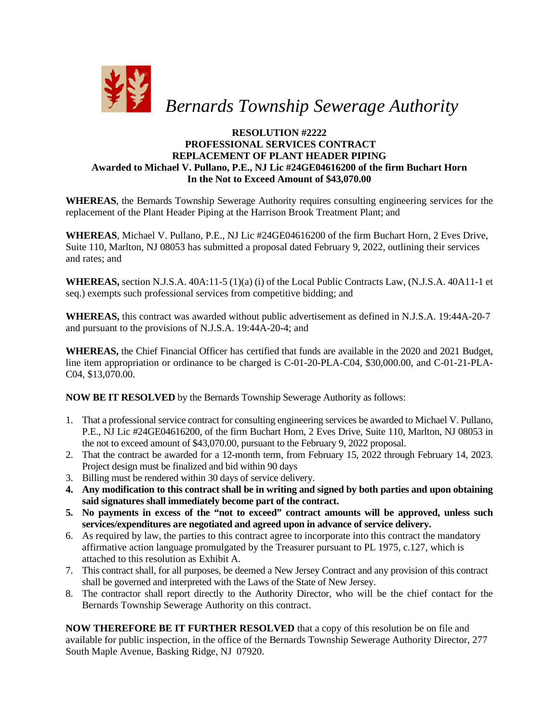

## **RESOLUTION #2222 PROFESSIONAL SERVICES CONTRACT REPLACEMENT OF PLANT HEADER PIPING Awarded to Michael V. Pullano, P.E., NJ Lic #24GE04616200 of the firm Buchart Horn In the Not to Exceed Amount of \$43,070.00**

**WHEREAS**, the Bernards Township Sewerage Authority requires consulting engineering services for the replacement of the Plant Header Piping at the Harrison Brook Treatment Plant; and

**WHEREAS**, Michael V. Pullano, P.E., NJ Lic #24GE04616200 of the firm Buchart Horn, 2 Eves Drive, Suite 110, Marlton, NJ 08053 has submitted a proposal dated February 9, 2022, outlining their services and rates; and

**WHEREAS,** section N.J.S.A. 40A:11-5 (1)(a) (i) of the Local Public Contracts Law, (N.J.S.A. 40A11-1 et seq.) exempts such professional services from competitive bidding; and

**WHEREAS,** this contract was awarded without public advertisement as defined in N.J.S.A. 19:44A-20-7 and pursuant to the provisions of N.J.S.A. 19:44A-20-4; and

**WHEREAS,** the Chief Financial Officer has certified that funds are available in the 2020 and 2021 Budget, line item appropriation or ordinance to be charged is C-01-20-PLA-C04, \$30,000.00, and C-01-21-PLA-C04, \$13,070.00.

**NOW BE IT RESOLVED** by the Bernards Township Sewerage Authority as follows:

- 1. That a professional service contract for consulting engineering services be awarded to Michael V. Pullano, P.E., NJ Lic #24GE04616200, of the firm Buchart Horn, 2 Eves Drive, Suite 110, Marlton, NJ 08053 in the not to exceed amount of \$43,070.00, pursuant to the February 9, 2022 proposal.
- 2. That the contract be awarded for a 12-month term, from February 15, 2022 through February 14, 2023. Project design must be finalized and bid within 90 days
- 3. Billing must be rendered within 30 days of service delivery.
- **4. Any modification to this contract shall be in writing and signed by both parties and upon obtaining said signatures shall immediately become part of the contract.**
- **5. No payments in excess of the "not to exceed" contract amounts will be approved, unless such services/expenditures are negotiated and agreed upon in advance of service delivery.**
- 6. As required by law, the parties to this contract agree to incorporate into this contract the mandatory affirmative action language promulgated by the Treasurer pursuant to PL 1975, c.127, which is attached to this resolution as Exhibit A.
- 7. This contract shall, for all purposes, be deemed a New Jersey Contract and any provision of this contract shall be governed and interpreted with the Laws of the State of New Jersey.
- 8. The contractor shall report directly to the Authority Director, who will be the chief contact for the Bernards Township Sewerage Authority on this contract.

**NOW THEREFORE BE IT FURTHER RESOLVED** that a copy of this resolution be on file and available for public inspection, in the office of the Bernards Township Sewerage Authority Director, 277 South Maple Avenue, Basking Ridge, NJ 07920.